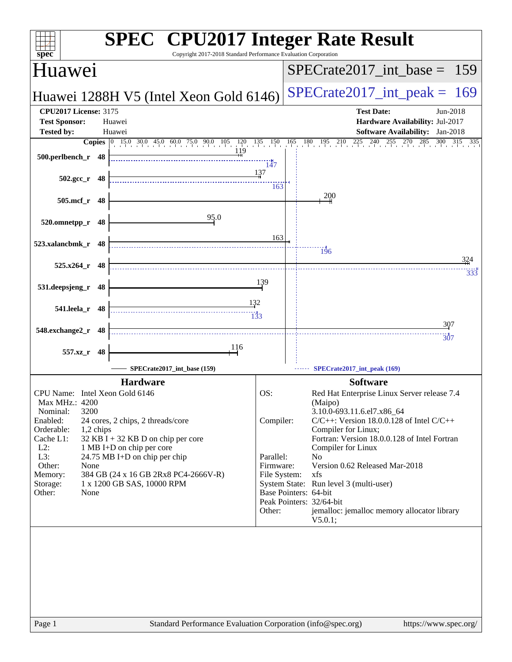| <b>SPEC<sup>®</sup></b> CPU2017 Integer Rate Result<br>Copyright 2017-2018 Standard Performance Evaluation Corporation<br>spec <sup>®</sup>                                                                                                                                     |              |                                                                                    |         |
|---------------------------------------------------------------------------------------------------------------------------------------------------------------------------------------------------------------------------------------------------------------------------------|--------------|------------------------------------------------------------------------------------|---------|
| Huawei                                                                                                                                                                                                                                                                          |              | $SPECrate2017\_int\_base = 159$                                                    |         |
| Huawei 1288H V5 (Intel Xeon Gold 6146)                                                                                                                                                                                                                                          |              | $SPECTate2017\_int\_peak =$                                                        | 169     |
| <b>CPU2017 License: 3175</b>                                                                                                                                                                                                                                                    |              | <b>Test Date:</b><br>Jun-2018                                                      |         |
| <b>Test Sponsor:</b><br>Huawei<br><b>Tested by:</b><br>Huawei                                                                                                                                                                                                                   |              | Hardware Availability: Jul-2017<br><b>Software Availability:</b> Jan-2018          |         |
| <b>Copies</b> $\begin{bmatrix} 0 & 15.0 & 30.0 & 45.0 & 60.0 & 75.0 & 90.0 & 105 & 120 & 135 & 150 \ 11.9 & 11.0 & 11.0 & 11.0 & 11.0 & 11.0 & 11.0 & 11.0 & 11.0 & 11.0 & 11.0 & 11.0 & 11.0 & 11.0 & 11.0 & 11.0 & 11.0 & 11.0 & 11.0 & 11.0 & 11.0 & 11.0 & 11.0 & 11.0 & 1$ |              | $180$ $195$ $210$ $225$ $240$<br>$255 \t 270$<br>$\frac{285}{1}$ 300<br>165<br>300 | 315 335 |
| 500.perlbench_r 48                                                                                                                                                                                                                                                              | 147          |                                                                                    |         |
| $502.\text{gcc}_r$ 48                                                                                                                                                                                                                                                           | 137<br>163   |                                                                                    |         |
| 505.mcf_r 48                                                                                                                                                                                                                                                                    |              | 200                                                                                |         |
| 95.0<br>520.omnetpp_r 48                                                                                                                                                                                                                                                        |              |                                                                                    |         |
| 523.xalancbmk_r 48                                                                                                                                                                                                                                                              | 163          | $\frac{11}{196}$                                                                   |         |
| $525.x264$ r 48                                                                                                                                                                                                                                                                 |              |                                                                                    | 324     |
| 531.deepsjeng_r<br>48                                                                                                                                                                                                                                                           | 139          |                                                                                    | 333     |
| 541.leela_r 48                                                                                                                                                                                                                                                                  |              |                                                                                    |         |
| 548.exchange2_r 48                                                                                                                                                                                                                                                              |              | 307                                                                                |         |
| 116<br>557.xz_r 48                                                                                                                                                                                                                                                              |              | 307                                                                                |         |
| SPECrate2017_int_base (159)                                                                                                                                                                                                                                                     |              | SPECrate2017_int_peak (169)                                                        |         |
| <b>Hardware</b>                                                                                                                                                                                                                                                                 |              | <b>Software</b>                                                                    |         |
| CPU Name: Intel Xeon Gold 6146<br>Max MHz.: 4200                                                                                                                                                                                                                                | OS:          | Red Hat Enterprise Linux Server release 7.4<br>(Maipo)                             |         |
| 3200<br>Nominal:                                                                                                                                                                                                                                                                |              | 3.10.0-693.11.6.el7.x86_64                                                         |         |
| Enabled:<br>24 cores, 2 chips, 2 threads/core<br>Orderable:<br>1,2 chips                                                                                                                                                                                                        | Compiler:    | $C/C++$ : Version 18.0.0.128 of Intel $C/C++$<br>Compiler for Linux;               |         |
| Cache L1:<br>32 KB I + 32 KB D on chip per core                                                                                                                                                                                                                                 |              | Fortran: Version 18.0.0.128 of Intel Fortran                                       |         |
| $L2$ :<br>1 MB I+D on chip per core<br>L3:                                                                                                                                                                                                                                      | Parallel:    | Compiler for Linux<br>No                                                           |         |
| 24.75 MB I+D on chip per chip<br>Other:<br>None                                                                                                                                                                                                                                 | Firmware:    | Version 0.62 Released Mar-2018                                                     |         |
| Memory:<br>384 GB (24 x 16 GB 2Rx8 PC4-2666V-R)                                                                                                                                                                                                                                 | File System: | xfs                                                                                |         |
| 1 x 1200 GB SAS, 10000 RPM<br>Storage:<br>Other:<br>None                                                                                                                                                                                                                        |              | System State: Run level 3 (multi-user)<br>Base Pointers: 64-bit                    |         |
|                                                                                                                                                                                                                                                                                 |              | Peak Pointers: 32/64-bit                                                           |         |
|                                                                                                                                                                                                                                                                                 | Other:       | jemalloc: jemalloc memory allocator library<br>V5.0.1;                             |         |
|                                                                                                                                                                                                                                                                                 |              |                                                                                    |         |
|                                                                                                                                                                                                                                                                                 |              |                                                                                    |         |
|                                                                                                                                                                                                                                                                                 |              |                                                                                    |         |
|                                                                                                                                                                                                                                                                                 |              |                                                                                    |         |
|                                                                                                                                                                                                                                                                                 |              |                                                                                    |         |
|                                                                                                                                                                                                                                                                                 |              |                                                                                    |         |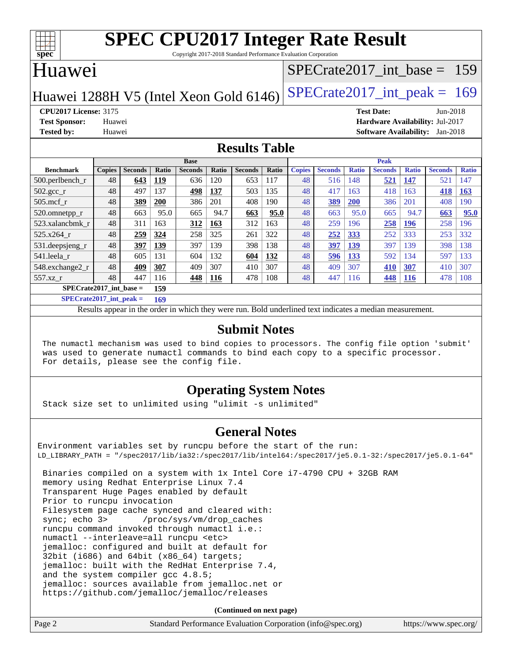

Copyright 2017-2018 Standard Performance Evaluation Corporation

## Huawei

## [SPECrate2017\\_int\\_base =](http://www.spec.org/auto/cpu2017/Docs/result-fields.html#SPECrate2017intbase) 159

Huawei 1288H V5 (Intel Xeon Gold  $6146$ ) [SPECrate2017\\_int\\_peak =](http://www.spec.org/auto/cpu2017/Docs/result-fields.html#SPECrate2017intpeak) 169

**[CPU2017 License:](http://www.spec.org/auto/cpu2017/Docs/result-fields.html#CPU2017License)** 3175 **[Test Date:](http://www.spec.org/auto/cpu2017/Docs/result-fields.html#TestDate)** Jun-2018 **[Test Sponsor:](http://www.spec.org/auto/cpu2017/Docs/result-fields.html#TestSponsor)** Huawei **[Hardware Availability:](http://www.spec.org/auto/cpu2017/Docs/result-fields.html#HardwareAvailability)** Jul-2017 **[Tested by:](http://www.spec.org/auto/cpu2017/Docs/result-fields.html#Testedby)** Huawei **[Software Availability:](http://www.spec.org/auto/cpu2017/Docs/result-fields.html#SoftwareAvailability)** Jan-2018

### **[Results Table](http://www.spec.org/auto/cpu2017/Docs/result-fields.html#ResultsTable)**

|                                  | <b>Base</b>   |                |       |                |              | <b>Peak</b>    |              |               |                |              |                |              |                |              |
|----------------------------------|---------------|----------------|-------|----------------|--------------|----------------|--------------|---------------|----------------|--------------|----------------|--------------|----------------|--------------|
| <b>Benchmark</b>                 | <b>Copies</b> | <b>Seconds</b> | Ratio | <b>Seconds</b> | <b>Ratio</b> | <b>Seconds</b> | <b>Ratio</b> | <b>Copies</b> | <b>Seconds</b> | <b>Ratio</b> | <b>Seconds</b> | <b>Ratio</b> | <b>Seconds</b> | <b>Ratio</b> |
| $500.$ perlbench_r               | 48            | 643            | 119   | 636            | 120          | 653            | 117          | 48            | 516            | 148          | 521            | 147          | 521            | 147          |
| $502.\text{gcc}_{r}$             | 48            | 497            | 137   | 498            | 137          | 503            | 135          | 48            | 417            | 163          | 418            | 163          | 418            | 163          |
| $505$ .mcf r                     | 48            | 389            | 200   | 386            | 201          | 408            | 190          | 48            | <u>389</u>     | <b>200</b>   | 386            | 201          | 408            | 190          |
| 520.omnetpp_r                    | 48            | 663            | 95.0  | 665            | 94.7         | 663            | 95.0         | 48            | 663            | 95.0         | 665            | 94.7         | 663            | 95.0         |
| 523.xalancbmk r                  | 48            | 311            | 163   | 312            | 163          | 312            | 163          | 48            | 259            | 196          | 258            | 196          | 258            | 196          |
| 525.x264 r                       | 48            | 259            | 324   | 258            | 325          | 261            | 322          | 48            | 252            | 333          | 252            | 333          | 253            | 332          |
| 531.deepsjeng_r                  | 48            | 397            | 139   | 397            | 139          | 398            | 138          | 48            | 397            | 139          | 397            | 139          | 398            | 138          |
| 541.leela r                      | 48            | 605            | 131   | 604            | 132          | 604            | 132          | 48            | 596            | 133          | 592            | 134          | 597            | 133          |
| 548.exchange2_r                  | 48            | 409            | 307   | 409            | 307          | 410            | 307          | 48            | 409            | 307          | 410            | 307          | 410            | 307          |
| 557.xz r                         | 48            | 447            | 116   | 448            | <b>116</b>   | 478            | 108          | 48            | 447            | 116          | 448            | <b>116</b>   | 478            | 108          |
| $SPECrate2017$ int base =<br>159 |               |                |       |                |              |                |              |               |                |              |                |              |                |              |

**[SPECrate2017\\_int\\_peak =](http://www.spec.org/auto/cpu2017/Docs/result-fields.html#SPECrate2017intpeak) 169**

Results appear in the [order in which they were run.](http://www.spec.org/auto/cpu2017/Docs/result-fields.html#RunOrder) Bold underlined text [indicates a median measurement.](http://www.spec.org/auto/cpu2017/Docs/result-fields.html#Median)

#### **[Submit Notes](http://www.spec.org/auto/cpu2017/Docs/result-fields.html#SubmitNotes)**

 The numactl mechanism was used to bind copies to processors. The config file option 'submit' was used to generate numactl commands to bind each copy to a specific processor. For details, please see the config file.

### **[Operating System Notes](http://www.spec.org/auto/cpu2017/Docs/result-fields.html#OperatingSystemNotes)**

Stack size set to unlimited using "ulimit -s unlimited"

### **[General Notes](http://www.spec.org/auto/cpu2017/Docs/result-fields.html#GeneralNotes)**

Environment variables set by runcpu before the start of the run: LD\_LIBRARY\_PATH = "/spec2017/lib/ia32:/spec2017/lib/intel64:/spec2017/je5.0.1-32:/spec2017/je5.0.1-64"

 Binaries compiled on a system with 1x Intel Core i7-4790 CPU + 32GB RAM memory using Redhat Enterprise Linux 7.4 Transparent Huge Pages enabled by default Prior to runcpu invocation Filesystem page cache synced and cleared with: sync; echo 3> /proc/sys/vm/drop\_caches runcpu command invoked through numactl i.e.: numactl --interleave=all runcpu <etc> jemalloc: configured and built at default for 32bit (i686) and 64bit (x86\_64) targets; jemalloc: built with the RedHat Enterprise 7.4, and the system compiler gcc 4.8.5; jemalloc: sources available from jemalloc.net or <https://github.com/jemalloc/jemalloc/releases>

**(Continued on next page)**

| Page 2 | Standard Performance Evaluation Corporation (info@spec.org) | https://www.spec.org/ |
|--------|-------------------------------------------------------------|-----------------------|
|        |                                                             |                       |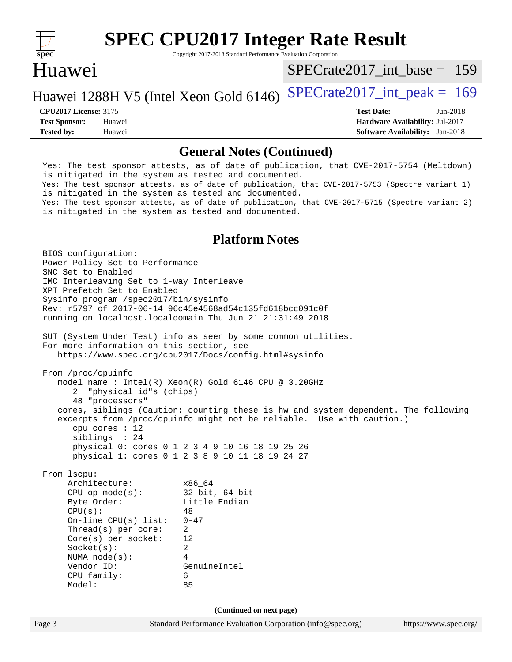

Copyright 2017-2018 Standard Performance Evaluation Corporation

## Huawei

[SPECrate2017\\_int\\_base =](http://www.spec.org/auto/cpu2017/Docs/result-fields.html#SPECrate2017intbase) 159

## Huawei 1288H V5 (Intel Xeon Gold  $6146$ ) [SPECrate2017\\_int\\_peak =](http://www.spec.org/auto/cpu2017/Docs/result-fields.html#SPECrate2017intpeak) 169

**[Tested by:](http://www.spec.org/auto/cpu2017/Docs/result-fields.html#Testedby)** Huawei **[Software Availability:](http://www.spec.org/auto/cpu2017/Docs/result-fields.html#SoftwareAvailability)** Jan-2018

**[CPU2017 License:](http://www.spec.org/auto/cpu2017/Docs/result-fields.html#CPU2017License)** 3175 **[Test Date:](http://www.spec.org/auto/cpu2017/Docs/result-fields.html#TestDate)** Jun-2018 **[Test Sponsor:](http://www.spec.org/auto/cpu2017/Docs/result-fields.html#TestSponsor)** Huawei **[Hardware Availability:](http://www.spec.org/auto/cpu2017/Docs/result-fields.html#HardwareAvailability)** Jul-2017

#### **[General Notes \(Continued\)](http://www.spec.org/auto/cpu2017/Docs/result-fields.html#GeneralNotes)**

 Yes: The test sponsor attests, as of date of publication, that CVE-2017-5754 (Meltdown) is mitigated in the system as tested and documented. Yes: The test sponsor attests, as of date of publication, that CVE-2017-5753 (Spectre variant 1) is mitigated in the system as tested and documented. Yes: The test sponsor attests, as of date of publication, that CVE-2017-5715 (Spectre variant 2) is mitigated in the system as tested and documented.

#### **[Platform Notes](http://www.spec.org/auto/cpu2017/Docs/result-fields.html#PlatformNotes)**

Page 3 Standard Performance Evaluation Corporation [\(info@spec.org\)](mailto:info@spec.org) <https://www.spec.org/> BIOS configuration: Power Policy Set to Performance SNC Set to Enabled IMC Interleaving Set to 1-way Interleave XPT Prefetch Set to Enabled Sysinfo program /spec2017/bin/sysinfo Rev: r5797 of 2017-06-14 96c45e4568ad54c135fd618bcc091c0f running on localhost.localdomain Thu Jun 21 21:31:49 2018 SUT (System Under Test) info as seen by some common utilities. For more information on this section, see <https://www.spec.org/cpu2017/Docs/config.html#sysinfo> From /proc/cpuinfo model name : Intel(R) Xeon(R) Gold 6146 CPU @ 3.20GHz 2 "physical id"s (chips) 48 "processors" cores, siblings (Caution: counting these is hw and system dependent. The following excerpts from /proc/cpuinfo might not be reliable. Use with caution.) cpu cores : 12 siblings : 24 physical 0: cores 0 1 2 3 4 9 10 16 18 19 25 26 physical 1: cores 0 1 2 3 8 9 10 11 18 19 24 27 From lscpu: Architecture: x86\_64 CPU op-mode(s): 32-bit, 64-bit Byte Order: Little Endian  $CPU(s):$  48 On-line CPU(s) list: 0-47 Thread(s) per core: 2 Core(s) per socket: 12 Socket(s): 2 NUMA node(s): 4 Vendor ID: GenuineIntel CPU family: 6 Model: 85 **(Continued on next page)**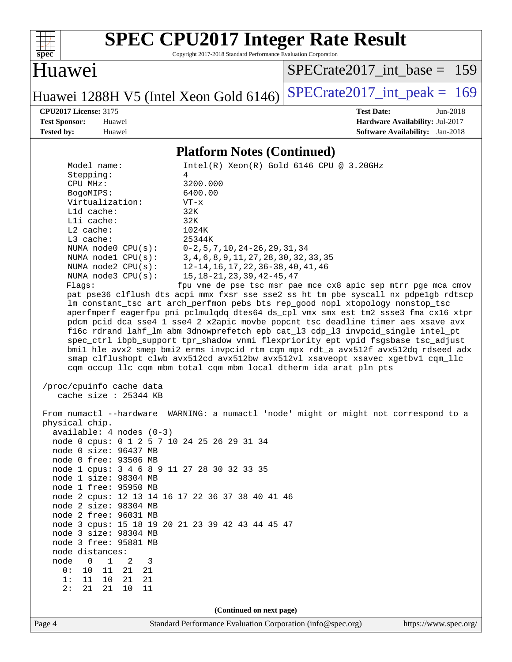

Copyright 2017-2018 Standard Performance Evaluation Corporation

# Huawei

[SPECrate2017\\_int\\_base =](http://www.spec.org/auto/cpu2017/Docs/result-fields.html#SPECrate2017intbase) 159

Huawei 1288H V5 (Intel Xeon Gold 6146) SPECrate 2017\_int\_peak = 169

**[CPU2017 License:](http://www.spec.org/auto/cpu2017/Docs/result-fields.html#CPU2017License)** 3175 **[Test Date:](http://www.spec.org/auto/cpu2017/Docs/result-fields.html#TestDate)** Jun-2018 **[Test Sponsor:](http://www.spec.org/auto/cpu2017/Docs/result-fields.html#TestSponsor)** Huawei **[Hardware Availability:](http://www.spec.org/auto/cpu2017/Docs/result-fields.html#HardwareAvailability)** Jul-2017 **[Tested by:](http://www.spec.org/auto/cpu2017/Docs/result-fields.html#Testedby)** Huawei **[Software Availability:](http://www.spec.org/auto/cpu2017/Docs/result-fields.html#SoftwareAvailability)** Jan-2018

#### **[Platform Notes \(Continued\)](http://www.spec.org/auto/cpu2017/Docs/result-fields.html#PlatformNotes)**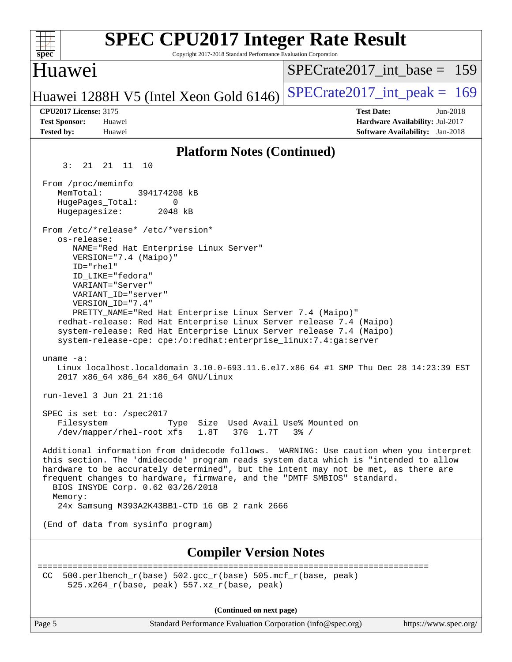| <b>SPEC CPU2017 Integer Rate Result</b><br>Copyright 2017-2018 Standard Performance Evaluation Corporation<br>spec <sup>®</sup>                                                                                                                                                                                                                                                                                                                                                                                                                                                                                                                                                                                                                                                                                        |                                                                                                            |
|------------------------------------------------------------------------------------------------------------------------------------------------------------------------------------------------------------------------------------------------------------------------------------------------------------------------------------------------------------------------------------------------------------------------------------------------------------------------------------------------------------------------------------------------------------------------------------------------------------------------------------------------------------------------------------------------------------------------------------------------------------------------------------------------------------------------|------------------------------------------------------------------------------------------------------------|
| Huawe <sub>1</sub>                                                                                                                                                                                                                                                                                                                                                                                                                                                                                                                                                                                                                                                                                                                                                                                                     | $SPECrate2017$ int base = 159                                                                              |
| Huawei 1288H V5 (Intel Xeon Gold 6146)                                                                                                                                                                                                                                                                                                                                                                                                                                                                                                                                                                                                                                                                                                                                                                                 | $SPECrate2017\_int\_peak = 169$                                                                            |
| <b>CPU2017 License: 3175</b><br><b>Test Sponsor:</b><br>Huawei<br><b>Tested by:</b><br>Huawei                                                                                                                                                                                                                                                                                                                                                                                                                                                                                                                                                                                                                                                                                                                          | <b>Test Date:</b><br>Jun-2018<br>Hardware Availability: Jul-2017<br><b>Software Availability:</b> Jan-2018 |
| <b>Platform Notes (Continued)</b>                                                                                                                                                                                                                                                                                                                                                                                                                                                                                                                                                                                                                                                                                                                                                                                      |                                                                                                            |
| 3:<br>21 21 11 10                                                                                                                                                                                                                                                                                                                                                                                                                                                                                                                                                                                                                                                                                                                                                                                                      |                                                                                                            |
| From /proc/meminfo<br>MemTotal:<br>394174208 kB<br>HugePages_Total:<br>0<br>Hugepagesize:<br>2048 kB                                                                                                                                                                                                                                                                                                                                                                                                                                                                                                                                                                                                                                                                                                                   |                                                                                                            |
| From /etc/*release* /etc/*version*<br>os-release:<br>NAME="Red Hat Enterprise Linux Server"<br>VERSION="7.4 (Maipo)"<br>ID="rhel"<br>ID LIKE="fedora"<br>VARIANT="Server"<br>VARIANT ID="server"<br>VERSION_ID="7.4"<br>PRETTY_NAME="Red Hat Enterprise Linux Server 7.4 (Maipo)"<br>redhat-release: Red Hat Enterprise Linux Server release 7.4 (Maipo)<br>system-release: Red Hat Enterprise Linux Server release 7.4 (Maipo)<br>system-release-cpe: cpe:/o:redhat:enterprise_linux:7.4:ga:server<br>uname $-a$ :<br>Linux localhost.localdomain 3.10.0-693.11.6.el7.x86_64 #1 SMP Thu Dec 28 14:23:39 EST<br>2017 x86_64 x86_64 x86_64 GNU/Linux<br>run-level 3 Jun 21 21:16<br>SPEC is set to: /spec2017<br>Filesystem<br>Size Used Avail Use% Mounted on<br>Type<br>/dev/mapper/rhel-root xfs<br>1.8T<br>37G 1.7T | $3\frac{6}{9}$ /                                                                                           |
| Additional information from dmidecode follows. WARNING: Use caution when you interpret<br>this section. The 'dmidecode' program reads system data which is "intended to allow<br>hardware to be accurately determined", but the intent may not be met, as there are<br>frequent changes to hardware, firmware, and the "DMTF SMBIOS" standard.<br>BIOS INSYDE Corp. 0.62 03/26/2018<br>Memory:<br>24x Samsung M393A2K43BB1-CTD 16 GB 2 rank 2666<br>(End of data from sysinfo program)                                                                                                                                                                                                                                                                                                                                 |                                                                                                            |
|                                                                                                                                                                                                                                                                                                                                                                                                                                                                                                                                                                                                                                                                                                                                                                                                                        |                                                                                                            |
| <b>Compiler Version Notes</b>                                                                                                                                                                                                                                                                                                                                                                                                                                                                                                                                                                                                                                                                                                                                                                                          |                                                                                                            |
| 500.perlbench_r(base) 502.gcc_r(base) 505.mcf_r(base, peak)<br>CC.<br>$525.x264_r(base, peak) 557.xz_r(base, peak)$                                                                                                                                                                                                                                                                                                                                                                                                                                                                                                                                                                                                                                                                                                    |                                                                                                            |
| (Continued on next page)                                                                                                                                                                                                                                                                                                                                                                                                                                                                                                                                                                                                                                                                                                                                                                                               |                                                                                                            |
| Page 5<br>Standard Performance Evaluation Corporation (info@spec.org)                                                                                                                                                                                                                                                                                                                                                                                                                                                                                                                                                                                                                                                                                                                                                  | https://www.spec.org/                                                                                      |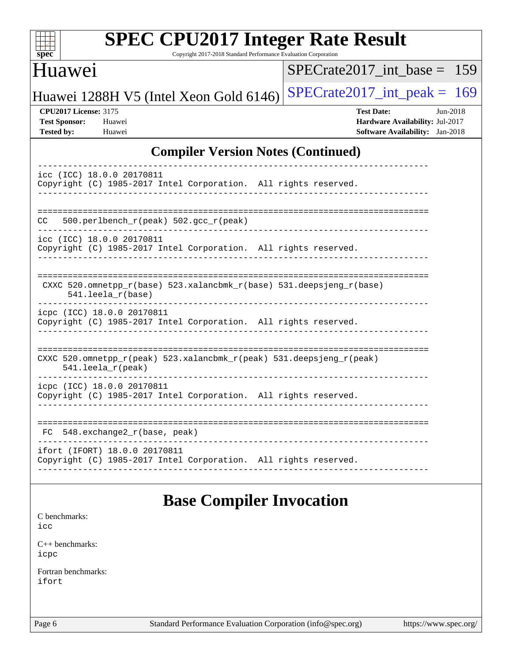| c<br>ť<br>L<br>z |  |  |  |  |  |  |  |
|------------------|--|--|--|--|--|--|--|

Copyright 2017-2018 Standard Performance Evaluation Corporation

# Huawei

[SPECrate2017\\_int\\_base =](http://www.spec.org/auto/cpu2017/Docs/result-fields.html#SPECrate2017intbase) 159

Huawei 1288H V5 (Intel Xeon Gold 6146) SPECrate 2017\_int\_peak = 169

**[CPU2017 License:](http://www.spec.org/auto/cpu2017/Docs/result-fields.html#CPU2017License)** 3175 **[Test Date:](http://www.spec.org/auto/cpu2017/Docs/result-fields.html#TestDate)** Jun-2018 **[Test Sponsor:](http://www.spec.org/auto/cpu2017/Docs/result-fields.html#TestSponsor)** Huawei **[Hardware Availability:](http://www.spec.org/auto/cpu2017/Docs/result-fields.html#HardwareAvailability)** Jul-2017 **[Tested by:](http://www.spec.org/auto/cpu2017/Docs/result-fields.html#Testedby)** Huawei **[Software Availability:](http://www.spec.org/auto/cpu2017/Docs/result-fields.html#SoftwareAvailability)** Jan-2018

### **[Compiler Version Notes \(Continued\)](http://www.spec.org/auto/cpu2017/Docs/result-fields.html#CompilerVersionNotes)**

| icc (ICC) 18.0.0 20170811                                                                       |
|-------------------------------------------------------------------------------------------------|
| Copyright (C) 1985-2017 Intel Corporation. All rights reserved.                                 |
|                                                                                                 |
|                                                                                                 |
| 500.perlbench $r(\text{peak})$ 502.gcc $r(\text{peak})$<br>CC                                   |
| icc (ICC) 18.0.0 20170811                                                                       |
| Copyright (C) 1985-2017 Intel Corporation. All rights reserved.                                 |
|                                                                                                 |
|                                                                                                 |
| CXXC $520.\text{omnetpp_r(base)}$ $523.\text{xalancbmk_r(base)}$ $531.\text{deepsjeng_r(base)}$ |
| $541.$ leela $r(base)$                                                                          |
| icpc (ICC) 18.0.0 20170811                                                                      |
| Copyright (C) 1985-2017 Intel Corporation. All rights reserved.                                 |
|                                                                                                 |
|                                                                                                 |
| CXXC 520.omnetpp_r(peak) 523.xalancbmk_r(peak) 531.deepsjeng_r(peak)                            |
| $541.$ leela $r$ (peak)                                                                         |
| icpc (ICC) 18.0.0 20170811                                                                      |
| Copyright (C) 1985-2017 Intel Corporation. All rights reserved.                                 |
|                                                                                                 |
|                                                                                                 |
| 548.exchange2 r(base, peak)<br>FC.                                                              |
| ifort (IFORT) 18.0.0 20170811                                                                   |
| Copyright (C) 1985-2017 Intel Corporation. All rights reserved.                                 |
|                                                                                                 |

# **[Base Compiler Invocation](http://www.spec.org/auto/cpu2017/Docs/result-fields.html#BaseCompilerInvocation)**

[C benchmarks](http://www.spec.org/auto/cpu2017/Docs/result-fields.html#Cbenchmarks):

[icc](http://www.spec.org/cpu2017/results/res2018q3/cpu2017-20180626-07461.flags.html#user_CCbase_intel_icc_18.0_66fc1ee009f7361af1fbd72ca7dcefbb700085f36577c54f309893dd4ec40d12360134090235512931783d35fd58c0460139e722d5067c5574d8eaf2b3e37e92)

[C++ benchmarks:](http://www.spec.org/auto/cpu2017/Docs/result-fields.html#CXXbenchmarks) [icpc](http://www.spec.org/cpu2017/results/res2018q3/cpu2017-20180626-07461.flags.html#user_CXXbase_intel_icpc_18.0_c510b6838c7f56d33e37e94d029a35b4a7bccf4766a728ee175e80a419847e808290a9b78be685c44ab727ea267ec2f070ec5dc83b407c0218cded6866a35d07)

[Fortran benchmarks](http://www.spec.org/auto/cpu2017/Docs/result-fields.html#Fortranbenchmarks): [ifort](http://www.spec.org/cpu2017/results/res2018q3/cpu2017-20180626-07461.flags.html#user_FCbase_intel_ifort_18.0_8111460550e3ca792625aed983ce982f94888b8b503583aa7ba2b8303487b4d8a21a13e7191a45c5fd58ff318f48f9492884d4413fa793fd88dd292cad7027ca)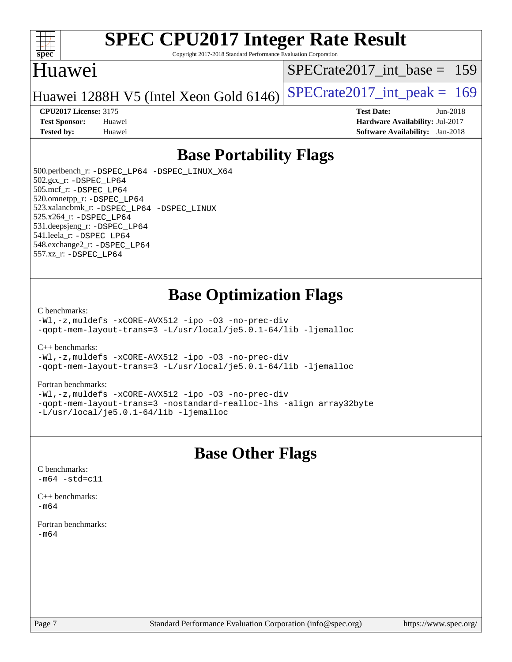

Copyright 2017-2018 Standard Performance Evaluation Corporation

# Huawei

[SPECrate2017\\_int\\_base =](http://www.spec.org/auto/cpu2017/Docs/result-fields.html#SPECrate2017intbase) 159

Huawei 1288H V5 (Intel Xeon Gold  $6146$ ) [SPECrate2017\\_int\\_peak =](http://www.spec.org/auto/cpu2017/Docs/result-fields.html#SPECrate2017intpeak) 169

#### **[CPU2017 License:](http://www.spec.org/auto/cpu2017/Docs/result-fields.html#CPU2017License)** 3175 **[Test Date:](http://www.spec.org/auto/cpu2017/Docs/result-fields.html#TestDate)** Jun-2018

**[Test Sponsor:](http://www.spec.org/auto/cpu2017/Docs/result-fields.html#TestSponsor)** Huawei **[Hardware Availability:](http://www.spec.org/auto/cpu2017/Docs/result-fields.html#HardwareAvailability)** Jul-2017 **[Tested by:](http://www.spec.org/auto/cpu2017/Docs/result-fields.html#Testedby)** Huawei **[Software Availability:](http://www.spec.org/auto/cpu2017/Docs/result-fields.html#SoftwareAvailability)** Jan-2018

# **[Base Portability Flags](http://www.spec.org/auto/cpu2017/Docs/result-fields.html#BasePortabilityFlags)**

 500.perlbench\_r: [-DSPEC\\_LP64](http://www.spec.org/cpu2017/results/res2018q3/cpu2017-20180626-07461.flags.html#b500.perlbench_r_basePORTABILITY_DSPEC_LP64) [-DSPEC\\_LINUX\\_X64](http://www.spec.org/cpu2017/results/res2018q3/cpu2017-20180626-07461.flags.html#b500.perlbench_r_baseCPORTABILITY_DSPEC_LINUX_X64) 502.gcc\_r: [-DSPEC\\_LP64](http://www.spec.org/cpu2017/results/res2018q3/cpu2017-20180626-07461.flags.html#suite_basePORTABILITY502_gcc_r_DSPEC_LP64) 505.mcf\_r: [-DSPEC\\_LP64](http://www.spec.org/cpu2017/results/res2018q3/cpu2017-20180626-07461.flags.html#suite_basePORTABILITY505_mcf_r_DSPEC_LP64) 520.omnetpp\_r: [-DSPEC\\_LP64](http://www.spec.org/cpu2017/results/res2018q3/cpu2017-20180626-07461.flags.html#suite_basePORTABILITY520_omnetpp_r_DSPEC_LP64) 523.xalancbmk\_r: [-DSPEC\\_LP64](http://www.spec.org/cpu2017/results/res2018q3/cpu2017-20180626-07461.flags.html#suite_basePORTABILITY523_xalancbmk_r_DSPEC_LP64) [-DSPEC\\_LINUX](http://www.spec.org/cpu2017/results/res2018q3/cpu2017-20180626-07461.flags.html#b523.xalancbmk_r_baseCXXPORTABILITY_DSPEC_LINUX) 525.x264\_r: [-DSPEC\\_LP64](http://www.spec.org/cpu2017/results/res2018q3/cpu2017-20180626-07461.flags.html#suite_basePORTABILITY525_x264_r_DSPEC_LP64) 531.deepsjeng\_r: [-DSPEC\\_LP64](http://www.spec.org/cpu2017/results/res2018q3/cpu2017-20180626-07461.flags.html#suite_basePORTABILITY531_deepsjeng_r_DSPEC_LP64) 541.leela\_r: [-DSPEC\\_LP64](http://www.spec.org/cpu2017/results/res2018q3/cpu2017-20180626-07461.flags.html#suite_basePORTABILITY541_leela_r_DSPEC_LP64) 548.exchange2\_r: [-DSPEC\\_LP64](http://www.spec.org/cpu2017/results/res2018q3/cpu2017-20180626-07461.flags.html#suite_basePORTABILITY548_exchange2_r_DSPEC_LP64) 557.xz\_r: [-DSPEC\\_LP64](http://www.spec.org/cpu2017/results/res2018q3/cpu2017-20180626-07461.flags.html#suite_basePORTABILITY557_xz_r_DSPEC_LP64)

# **[Base Optimization Flags](http://www.spec.org/auto/cpu2017/Docs/result-fields.html#BaseOptimizationFlags)**

#### [C benchmarks](http://www.spec.org/auto/cpu2017/Docs/result-fields.html#Cbenchmarks):

[-Wl,-z,muldefs](http://www.spec.org/cpu2017/results/res2018q3/cpu2017-20180626-07461.flags.html#user_CCbase_link_force_multiple1_b4cbdb97b34bdee9ceefcfe54f4c8ea74255f0b02a4b23e853cdb0e18eb4525ac79b5a88067c842dd0ee6996c24547a27a4b99331201badda8798ef8a743f577) [-xCORE-AVX512](http://www.spec.org/cpu2017/results/res2018q3/cpu2017-20180626-07461.flags.html#user_CCbase_f-xCORE-AVX512) [-ipo](http://www.spec.org/cpu2017/results/res2018q3/cpu2017-20180626-07461.flags.html#user_CCbase_f-ipo) [-O3](http://www.spec.org/cpu2017/results/res2018q3/cpu2017-20180626-07461.flags.html#user_CCbase_f-O3) [-no-prec-div](http://www.spec.org/cpu2017/results/res2018q3/cpu2017-20180626-07461.flags.html#user_CCbase_f-no-prec-div) [-qopt-mem-layout-trans=3](http://www.spec.org/cpu2017/results/res2018q3/cpu2017-20180626-07461.flags.html#user_CCbase_f-qopt-mem-layout-trans_de80db37974c74b1f0e20d883f0b675c88c3b01e9d123adea9b28688d64333345fb62bc4a798493513fdb68f60282f9a726aa07f478b2f7113531aecce732043) [-L/usr/local/je5.0.1-64/lib](http://www.spec.org/cpu2017/results/res2018q3/cpu2017-20180626-07461.flags.html#user_CCbase_jemalloc_link_path64_4b10a636b7bce113509b17f3bd0d6226c5fb2346b9178c2d0232c14f04ab830f976640479e5c33dc2bcbbdad86ecfb6634cbbd4418746f06f368b512fced5394) [-ljemalloc](http://www.spec.org/cpu2017/results/res2018q3/cpu2017-20180626-07461.flags.html#user_CCbase_jemalloc_link_lib_d1249b907c500fa1c0672f44f562e3d0f79738ae9e3c4a9c376d49f265a04b9c99b167ecedbf6711b3085be911c67ff61f150a17b3472be731631ba4d0471706)

[C++ benchmarks:](http://www.spec.org/auto/cpu2017/Docs/result-fields.html#CXXbenchmarks)

[-Wl,-z,muldefs](http://www.spec.org/cpu2017/results/res2018q3/cpu2017-20180626-07461.flags.html#user_CXXbase_link_force_multiple1_b4cbdb97b34bdee9ceefcfe54f4c8ea74255f0b02a4b23e853cdb0e18eb4525ac79b5a88067c842dd0ee6996c24547a27a4b99331201badda8798ef8a743f577) [-xCORE-AVX512](http://www.spec.org/cpu2017/results/res2018q3/cpu2017-20180626-07461.flags.html#user_CXXbase_f-xCORE-AVX512) [-ipo](http://www.spec.org/cpu2017/results/res2018q3/cpu2017-20180626-07461.flags.html#user_CXXbase_f-ipo) [-O3](http://www.spec.org/cpu2017/results/res2018q3/cpu2017-20180626-07461.flags.html#user_CXXbase_f-O3) [-no-prec-div](http://www.spec.org/cpu2017/results/res2018q3/cpu2017-20180626-07461.flags.html#user_CXXbase_f-no-prec-div) [-qopt-mem-layout-trans=3](http://www.spec.org/cpu2017/results/res2018q3/cpu2017-20180626-07461.flags.html#user_CXXbase_f-qopt-mem-layout-trans_de80db37974c74b1f0e20d883f0b675c88c3b01e9d123adea9b28688d64333345fb62bc4a798493513fdb68f60282f9a726aa07f478b2f7113531aecce732043) [-L/usr/local/je5.0.1-64/lib](http://www.spec.org/cpu2017/results/res2018q3/cpu2017-20180626-07461.flags.html#user_CXXbase_jemalloc_link_path64_4b10a636b7bce113509b17f3bd0d6226c5fb2346b9178c2d0232c14f04ab830f976640479e5c33dc2bcbbdad86ecfb6634cbbd4418746f06f368b512fced5394) [-ljemalloc](http://www.spec.org/cpu2017/results/res2018q3/cpu2017-20180626-07461.flags.html#user_CXXbase_jemalloc_link_lib_d1249b907c500fa1c0672f44f562e3d0f79738ae9e3c4a9c376d49f265a04b9c99b167ecedbf6711b3085be911c67ff61f150a17b3472be731631ba4d0471706)

#### [Fortran benchmarks](http://www.spec.org/auto/cpu2017/Docs/result-fields.html#Fortranbenchmarks):

[-Wl,-z,muldefs](http://www.spec.org/cpu2017/results/res2018q3/cpu2017-20180626-07461.flags.html#user_FCbase_link_force_multiple1_b4cbdb97b34bdee9ceefcfe54f4c8ea74255f0b02a4b23e853cdb0e18eb4525ac79b5a88067c842dd0ee6996c24547a27a4b99331201badda8798ef8a743f577) [-xCORE-AVX512](http://www.spec.org/cpu2017/results/res2018q3/cpu2017-20180626-07461.flags.html#user_FCbase_f-xCORE-AVX512) [-ipo](http://www.spec.org/cpu2017/results/res2018q3/cpu2017-20180626-07461.flags.html#user_FCbase_f-ipo) [-O3](http://www.spec.org/cpu2017/results/res2018q3/cpu2017-20180626-07461.flags.html#user_FCbase_f-O3) [-no-prec-div](http://www.spec.org/cpu2017/results/res2018q3/cpu2017-20180626-07461.flags.html#user_FCbase_f-no-prec-div) [-qopt-mem-layout-trans=3](http://www.spec.org/cpu2017/results/res2018q3/cpu2017-20180626-07461.flags.html#user_FCbase_f-qopt-mem-layout-trans_de80db37974c74b1f0e20d883f0b675c88c3b01e9d123adea9b28688d64333345fb62bc4a798493513fdb68f60282f9a726aa07f478b2f7113531aecce732043) [-nostandard-realloc-lhs](http://www.spec.org/cpu2017/results/res2018q3/cpu2017-20180626-07461.flags.html#user_FCbase_f_2003_std_realloc_82b4557e90729c0f113870c07e44d33d6f5a304b4f63d4c15d2d0f1fab99f5daaed73bdb9275d9ae411527f28b936061aa8b9c8f2d63842963b95c9dd6426b8a) [-align array32byte](http://www.spec.org/cpu2017/results/res2018q3/cpu2017-20180626-07461.flags.html#user_FCbase_align_array32byte_b982fe038af199962ba9a80c053b8342c548c85b40b8e86eb3cc33dee0d7986a4af373ac2d51c3f7cf710a18d62fdce2948f201cd044323541f22fc0fffc51b6) [-L/usr/local/je5.0.1-64/lib](http://www.spec.org/cpu2017/results/res2018q3/cpu2017-20180626-07461.flags.html#user_FCbase_jemalloc_link_path64_4b10a636b7bce113509b17f3bd0d6226c5fb2346b9178c2d0232c14f04ab830f976640479e5c33dc2bcbbdad86ecfb6634cbbd4418746f06f368b512fced5394) [-ljemalloc](http://www.spec.org/cpu2017/results/res2018q3/cpu2017-20180626-07461.flags.html#user_FCbase_jemalloc_link_lib_d1249b907c500fa1c0672f44f562e3d0f79738ae9e3c4a9c376d49f265a04b9c99b167ecedbf6711b3085be911c67ff61f150a17b3472be731631ba4d0471706)

# **[Base Other Flags](http://www.spec.org/auto/cpu2017/Docs/result-fields.html#BaseOtherFlags)**

[C benchmarks](http://www.spec.org/auto/cpu2017/Docs/result-fields.html#Cbenchmarks):  $-m64 - std= c11$  $-m64 - std= c11$ 

[C++ benchmarks:](http://www.spec.org/auto/cpu2017/Docs/result-fields.html#CXXbenchmarks)  $-m64$ 

[Fortran benchmarks](http://www.spec.org/auto/cpu2017/Docs/result-fields.html#Fortranbenchmarks): [-m64](http://www.spec.org/cpu2017/results/res2018q3/cpu2017-20180626-07461.flags.html#user_FCbase_intel_intel64_18.0_af43caccfc8ded86e7699f2159af6efc7655f51387b94da716254467f3c01020a5059329e2569e4053f409e7c9202a7efc638f7a6d1ffb3f52dea4a3e31d82ab)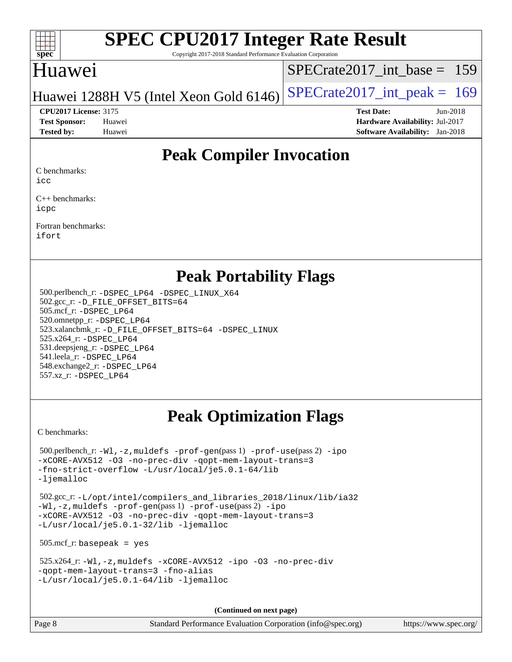

Copyright 2017-2018 Standard Performance Evaluation Corporation

# Huawei

[SPECrate2017\\_int\\_base =](http://www.spec.org/auto/cpu2017/Docs/result-fields.html#SPECrate2017intbase) 159

## Huawei 1288H V5 (Intel Xeon Gold  $6146$ ) [SPECrate2017\\_int\\_peak =](http://www.spec.org/auto/cpu2017/Docs/result-fields.html#SPECrate2017intpeak) 169

**[Tested by:](http://www.spec.org/auto/cpu2017/Docs/result-fields.html#Testedby)** Huawei **[Software Availability:](http://www.spec.org/auto/cpu2017/Docs/result-fields.html#SoftwareAvailability)** Jan-2018

**[CPU2017 License:](http://www.spec.org/auto/cpu2017/Docs/result-fields.html#CPU2017License)** 3175 **[Test Date:](http://www.spec.org/auto/cpu2017/Docs/result-fields.html#TestDate)** Jun-2018 **[Test Sponsor:](http://www.spec.org/auto/cpu2017/Docs/result-fields.html#TestSponsor)** Huawei **[Hardware Availability:](http://www.spec.org/auto/cpu2017/Docs/result-fields.html#HardwareAvailability)** Jul-2017

# **[Peak Compiler Invocation](http://www.spec.org/auto/cpu2017/Docs/result-fields.html#PeakCompilerInvocation)**

[C benchmarks:](http://www.spec.org/auto/cpu2017/Docs/result-fields.html#Cbenchmarks)

[icc](http://www.spec.org/cpu2017/results/res2018q3/cpu2017-20180626-07461.flags.html#user_CCpeak_intel_icc_18.0_66fc1ee009f7361af1fbd72ca7dcefbb700085f36577c54f309893dd4ec40d12360134090235512931783d35fd58c0460139e722d5067c5574d8eaf2b3e37e92)

[C++ benchmarks:](http://www.spec.org/auto/cpu2017/Docs/result-fields.html#CXXbenchmarks) [icpc](http://www.spec.org/cpu2017/results/res2018q3/cpu2017-20180626-07461.flags.html#user_CXXpeak_intel_icpc_18.0_c510b6838c7f56d33e37e94d029a35b4a7bccf4766a728ee175e80a419847e808290a9b78be685c44ab727ea267ec2f070ec5dc83b407c0218cded6866a35d07)

[Fortran benchmarks](http://www.spec.org/auto/cpu2017/Docs/result-fields.html#Fortranbenchmarks): [ifort](http://www.spec.org/cpu2017/results/res2018q3/cpu2017-20180626-07461.flags.html#user_FCpeak_intel_ifort_18.0_8111460550e3ca792625aed983ce982f94888b8b503583aa7ba2b8303487b4d8a21a13e7191a45c5fd58ff318f48f9492884d4413fa793fd88dd292cad7027ca)

## **[Peak Portability Flags](http://www.spec.org/auto/cpu2017/Docs/result-fields.html#PeakPortabilityFlags)**

 500.perlbench\_r: [-DSPEC\\_LP64](http://www.spec.org/cpu2017/results/res2018q3/cpu2017-20180626-07461.flags.html#b500.perlbench_r_peakPORTABILITY_DSPEC_LP64) [-DSPEC\\_LINUX\\_X64](http://www.spec.org/cpu2017/results/res2018q3/cpu2017-20180626-07461.flags.html#b500.perlbench_r_peakCPORTABILITY_DSPEC_LINUX_X64) 502.gcc\_r: [-D\\_FILE\\_OFFSET\\_BITS=64](http://www.spec.org/cpu2017/results/res2018q3/cpu2017-20180626-07461.flags.html#user_peakPORTABILITY502_gcc_r_file_offset_bits_64_5ae949a99b284ddf4e95728d47cb0843d81b2eb0e18bdfe74bbf0f61d0b064f4bda2f10ea5eb90e1dcab0e84dbc592acfc5018bc955c18609f94ddb8d550002c) 505.mcf\_r: [-DSPEC\\_LP64](http://www.spec.org/cpu2017/results/res2018q3/cpu2017-20180626-07461.flags.html#suite_peakPORTABILITY505_mcf_r_DSPEC_LP64) 520.omnetpp\_r: [-DSPEC\\_LP64](http://www.spec.org/cpu2017/results/res2018q3/cpu2017-20180626-07461.flags.html#suite_peakPORTABILITY520_omnetpp_r_DSPEC_LP64) 523.xalancbmk\_r: [-D\\_FILE\\_OFFSET\\_BITS=64](http://www.spec.org/cpu2017/results/res2018q3/cpu2017-20180626-07461.flags.html#user_peakPORTABILITY523_xalancbmk_r_file_offset_bits_64_5ae949a99b284ddf4e95728d47cb0843d81b2eb0e18bdfe74bbf0f61d0b064f4bda2f10ea5eb90e1dcab0e84dbc592acfc5018bc955c18609f94ddb8d550002c) [-DSPEC\\_LINUX](http://www.spec.org/cpu2017/results/res2018q3/cpu2017-20180626-07461.flags.html#b523.xalancbmk_r_peakCXXPORTABILITY_DSPEC_LINUX) 525.x264\_r: [-DSPEC\\_LP64](http://www.spec.org/cpu2017/results/res2018q3/cpu2017-20180626-07461.flags.html#suite_peakPORTABILITY525_x264_r_DSPEC_LP64) 531.deepsjeng\_r: [-DSPEC\\_LP64](http://www.spec.org/cpu2017/results/res2018q3/cpu2017-20180626-07461.flags.html#suite_peakPORTABILITY531_deepsjeng_r_DSPEC_LP64) 541.leela\_r: [-DSPEC\\_LP64](http://www.spec.org/cpu2017/results/res2018q3/cpu2017-20180626-07461.flags.html#suite_peakPORTABILITY541_leela_r_DSPEC_LP64) 548.exchange2\_r: [-DSPEC\\_LP64](http://www.spec.org/cpu2017/results/res2018q3/cpu2017-20180626-07461.flags.html#suite_peakPORTABILITY548_exchange2_r_DSPEC_LP64) 557.xz\_r: [-DSPEC\\_LP64](http://www.spec.org/cpu2017/results/res2018q3/cpu2017-20180626-07461.flags.html#suite_peakPORTABILITY557_xz_r_DSPEC_LP64)

# **[Peak Optimization Flags](http://www.spec.org/auto/cpu2017/Docs/result-fields.html#PeakOptimizationFlags)**

[C benchmarks](http://www.spec.org/auto/cpu2017/Docs/result-fields.html#Cbenchmarks):

```
 500.perlbench_r: -Wl,-z,muldefs -prof-gen(pass 1) -prof-use(pass 2) -ipo
-xCORE-AVX512 -O3 -no-prec-div -qopt-mem-layout-trans=3
-fno-strict-overflow -L/usr/local/je5.0.1-64/lib
-ljemalloc
 502.gcc_r: -L/opt/intel/compilers_and_libraries_2018/linux/lib/ia32
-Wl,-z,muldefs -prof-gen(pass 1) -prof-use(pass 2) -ipo
-xCORE-AVX512 -O3 -no-prec-div -qopt-mem-layout-trans=3
-L/usr/local/je5.0.1-32/lib -ljemalloc
 505.mcf_r: basepeak = yes
 525.x264_r: -Wl,-z,muldefs -xCORE-AVX512 -ipo -O3 -no-prec-div
-qopt-mem-layout-trans=3 -fno-alias
-L/usr/local/je5.0.1-64/lib -ljemalloc
```
**(Continued on next page)**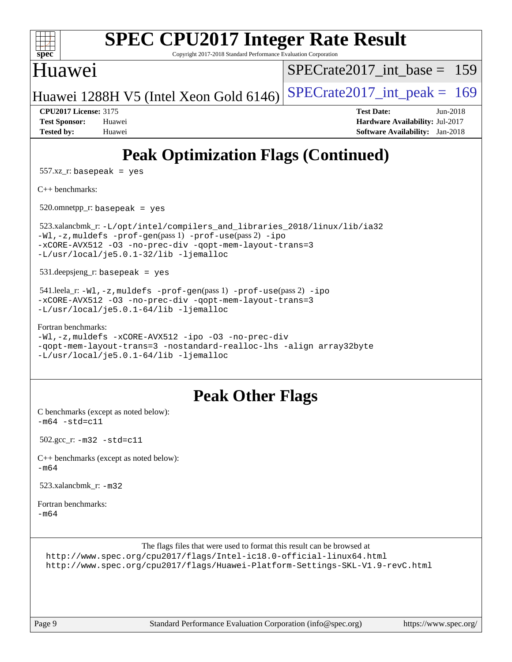

```
-Wl,-z,muldefs -prof-gen(pass 1) -prof-use(pass 2) -ipo
-xCORE-AVX512 -O3 -no-prec-div -qopt-mem-layout-trans=3
-L/usr/local/je5.0.1-32/lib -ljemalloc
```

```
 531.deepsjeng_r: basepeak = yes
```

```
 541.leela_r: -Wl,-z,muldefs -prof-gen(pass 1) -prof-use(pass 2) -ipo
-xCORE-AVX512 -O3 -no-prec-div -qopt-mem-layout-trans=3
-L/usr/local/je5.0.1-64/lib -ljemalloc
```

```
Fortran benchmarks: 
-Wl,-z,muldefs -xCORE-AVX512 -ipo -O3 -no-prec-div
-qopt-mem-layout-trans=3 -nostandard-realloc-lhs -align array32byte
-L/usr/local/je5.0.1-64/lib -ljemalloc
```
# **[Peak Other Flags](http://www.spec.org/auto/cpu2017/Docs/result-fields.html#PeakOtherFlags)**

[C benchmarks \(except as noted below\)](http://www.spec.org/auto/cpu2017/Docs/result-fields.html#Cbenchmarksexceptasnotedbelow):  $-m64 - std = c11$  $-m64 - std = c11$ 

```
 502.gcc_r: -m32 -std=c11
```

```
C++ benchmarks (except as noted below): 
-m64
```

```
523.xalancbmk-m32
```

```
Fortran benchmarks: 
-m64
```

```
The flags files that were used to format this result can be browsed at
http://www.spec.org/cpu2017/flags/Intel-ic18.0-official-linux64.html
http://www.spec.org/cpu2017/flags/Huawei-Platform-Settings-SKL-V1.9-revC.html
```